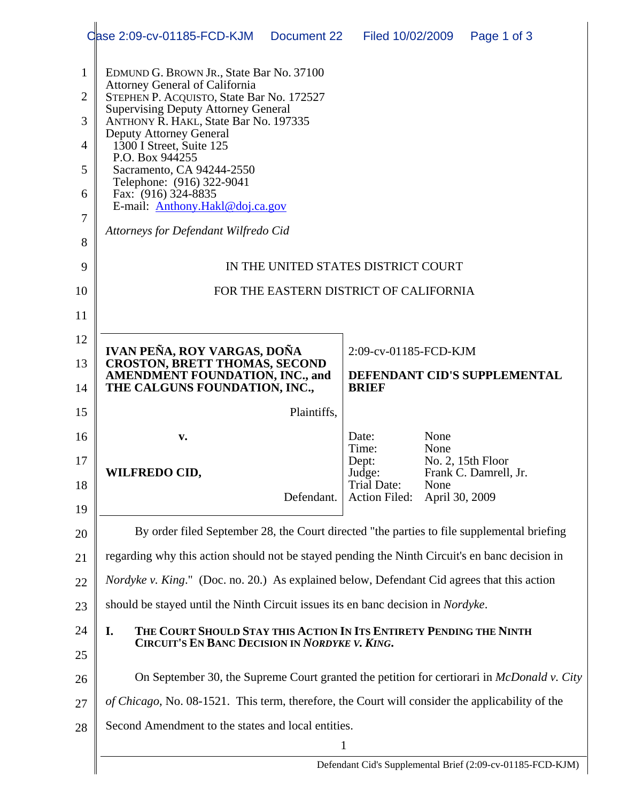|                                                                   | Oase 2:09-cv-01185-FCD-KJM                                                                                                                                                                                                                                                                                                                                                                                                                                         | Document 22                                           | Filed 10/02/2009                                       |                        | Page 1 of 3                                |  |  |
|-------------------------------------------------------------------|--------------------------------------------------------------------------------------------------------------------------------------------------------------------------------------------------------------------------------------------------------------------------------------------------------------------------------------------------------------------------------------------------------------------------------------------------------------------|-------------------------------------------------------|--------------------------------------------------------|------------------------|--------------------------------------------|--|--|
| $\mathbf{1}$<br>$\overline{2}$<br>3<br>4<br>5<br>6<br>$\tau$<br>8 | EDMUND G. BROWN JR., State Bar No. 37100<br><b>Attorney General of California</b><br>STEPHEN P. ACQUISTO, State Bar No. 172527<br><b>Supervising Deputy Attorney General</b><br>ANTHONY R. HAKL, State Bar No. 197335<br><b>Deputy Attorney General</b><br>1300 I Street, Suite 125<br>P.O. Box 944255<br>Sacramento, CA 94244-2550<br>Telephone: (916) 322-9041<br>Fax: (916) 324-8835<br>E-mail: Anthony.Hakl@doj.ca.gov<br>Attorneys for Defendant Wilfredo Cid |                                                       |                                                        |                        |                                            |  |  |
| 9                                                                 | IN THE UNITED STATES DISTRICT COURT                                                                                                                                                                                                                                                                                                                                                                                                                                |                                                       |                                                        |                        |                                            |  |  |
| 10                                                                | FOR THE EASTERN DISTRICT OF CALIFORNIA                                                                                                                                                                                                                                                                                                                                                                                                                             |                                                       |                                                        |                        |                                            |  |  |
| 11                                                                |                                                                                                                                                                                                                                                                                                                                                                                                                                                                    |                                                       |                                                        |                        |                                            |  |  |
| 12                                                                | IVAN PEÑA, ROY VARGAS, DOÑA                                                                                                                                                                                                                                                                                                                                                                                                                                        | 2:09-cv-01185-FCD-KJM<br>DEFENDANT CID'S SUPPLEMENTAL |                                                        |                        |                                            |  |  |
| 13                                                                | <b>CROSTON, BRETT THOMAS, SECOND</b><br><b>AMENDMENT FOUNDATION, INC., and</b>                                                                                                                                                                                                                                                                                                                                                                                     |                                                       |                                                        |                        |                                            |  |  |
| 14                                                                | THE CALGUNS FOUNDATION, INC.,                                                                                                                                                                                                                                                                                                                                                                                                                                      |                                                       | <b>BRIEF</b>                                           |                        |                                            |  |  |
| 15                                                                |                                                                                                                                                                                                                                                                                                                                                                                                                                                                    | Plaintiffs,                                           |                                                        |                        |                                            |  |  |
| 16                                                                | v.                                                                                                                                                                                                                                                                                                                                                                                                                                                                 |                                                       | Date:<br>Time:                                         | None<br>None           |                                            |  |  |
| 17<br>18<br>19                                                    | <b>WILFREDO CID,</b>                                                                                                                                                                                                                                                                                                                                                                                                                                               | Defendant.                                            | Dept:<br>Judge:<br>Trial Date:<br><b>Action Filed:</b> | None<br>April 30, 2009 | No. 2, 15th Floor<br>Frank C. Damrell, Jr. |  |  |
| 20                                                                | By order filed September 28, the Court directed "the parties to file supplemental briefing                                                                                                                                                                                                                                                                                                                                                                         |                                                       |                                                        |                        |                                            |  |  |
| 21                                                                | regarding why this action should not be stayed pending the Ninth Circuit's en banc decision in                                                                                                                                                                                                                                                                                                                                                                     |                                                       |                                                        |                        |                                            |  |  |
| 22                                                                | <i>Nordyke v. King.</i> " (Doc. no. 20.) As explained below, Defendant Cid agrees that this action                                                                                                                                                                                                                                                                                                                                                                 |                                                       |                                                        |                        |                                            |  |  |
| 23                                                                | should be stayed until the Ninth Circuit issues its en banc decision in Nordyke.                                                                                                                                                                                                                                                                                                                                                                                   |                                                       |                                                        |                        |                                            |  |  |
| 24                                                                | THE COURT SHOULD STAY THIS ACTION IN ITS ENTIRETY PENDING THE NINTH<br>I.<br>CIRCUIT'S EN BANC DECISION IN NORDYKE V. KING.                                                                                                                                                                                                                                                                                                                                        |                                                       |                                                        |                        |                                            |  |  |
| 25                                                                |                                                                                                                                                                                                                                                                                                                                                                                                                                                                    |                                                       |                                                        |                        |                                            |  |  |
| 26                                                                | On September 30, the Supreme Court granted the petition for certiorari in <i>McDonald v. City</i>                                                                                                                                                                                                                                                                                                                                                                  |                                                       |                                                        |                        |                                            |  |  |
| 27                                                                | of Chicago, No. 08-1521. This term, therefore, the Court will consider the applicability of the                                                                                                                                                                                                                                                                                                                                                                    |                                                       |                                                        |                        |                                            |  |  |
| 28                                                                | Second Amendment to the states and local entities.                                                                                                                                                                                                                                                                                                                                                                                                                 |                                                       |                                                        |                        |                                            |  |  |
|                                                                   | $\mathbf{1}$<br>Defendant Cid's Supplemental Brief (2:09-cv-01185-FCD-KJM)                                                                                                                                                                                                                                                                                                                                                                                         |                                                       |                                                        |                        |                                            |  |  |
|                                                                   |                                                                                                                                                                                                                                                                                                                                                                                                                                                                    |                                                       |                                                        |                        |                                            |  |  |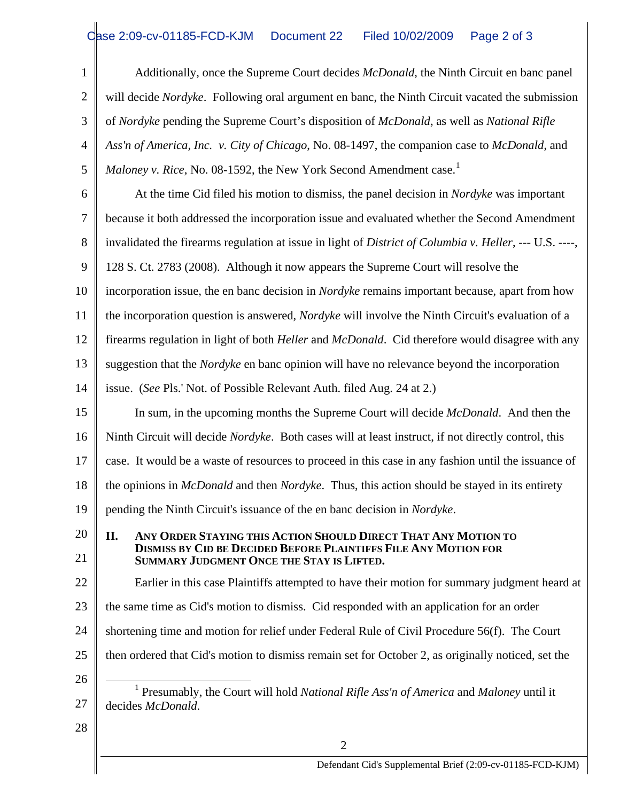## Case 2:09-cv-01185-FCD-KJM Document 22 Filed 10/02/2009 Page 2 of 3

<span id="page-1-0"></span>

| $\mathbf{1}$ | Additionally, once the Supreme Court decides McDonald, the Ninth Circuit en banc panel                                                                                                       |  |  |  |
|--------------|----------------------------------------------------------------------------------------------------------------------------------------------------------------------------------------------|--|--|--|
| $\mathbf{2}$ | will decide <i>Nordyke</i> . Following oral argument en banc, the Ninth Circuit vacated the submission                                                                                       |  |  |  |
| 3            | of Nordyke pending the Supreme Court's disposition of McDonald, as well as National Rifle                                                                                                    |  |  |  |
| 4            | Ass'n of America, Inc. v. City of Chicago, No. 08-1497, the companion case to McDonald, and                                                                                                  |  |  |  |
| 5            | <i>Maloney v. Rice, No.</i> 08-1592, the New York Second Amendment case. <sup>1</sup>                                                                                                        |  |  |  |
| 6            | At the time Cid filed his motion to dismiss, the panel decision in <i>Nordyke</i> was important                                                                                              |  |  |  |
| 7            | because it both addressed the incorporation issue and evaluated whether the Second Amendment                                                                                                 |  |  |  |
| 8            | invalidated the firearms regulation at issue in light of District of Columbia v. Heller, --- U.S. ----,                                                                                      |  |  |  |
| 9            | 128 S. Ct. 2783 (2008). Although it now appears the Supreme Court will resolve the                                                                                                           |  |  |  |
| 10           | incorporation issue, the en banc decision in <i>Nordyke</i> remains important because, apart from how                                                                                        |  |  |  |
| 11           | the incorporation question is answered, <i>Nordyke</i> will involve the Ninth Circuit's evaluation of a                                                                                      |  |  |  |
| 12           | firearms regulation in light of both <i>Heller</i> and <i>McDonald</i> . Cid therefore would disagree with any                                                                               |  |  |  |
| 13           | suggestion that the <i>Nordyke</i> en banc opinion will have no relevance beyond the incorporation                                                                                           |  |  |  |
| 14           | issue. (See Pls.' Not. of Possible Relevant Auth. filed Aug. 24 at 2.)                                                                                                                       |  |  |  |
| 15           | In sum, in the upcoming months the Supreme Court will decide McDonald. And then the                                                                                                          |  |  |  |
| 16           | Ninth Circuit will decide <i>Nordyke</i> . Both cases will at least instruct, if not directly control, this                                                                                  |  |  |  |
| 17           | case. It would be a waste of resources to proceed in this case in any fashion until the issuance of                                                                                          |  |  |  |
| 18           | the opinions in McDonald and then Nordyke. Thus, this action should be stayed in its entirety                                                                                                |  |  |  |
| 19           | pending the Ninth Circuit's issuance of the en banc decision in Nordyke.                                                                                                                     |  |  |  |
| 20<br>21     | II.<br>ANY ORDER STAYING THIS ACTION SHOULD DIRECT THAT ANY MOTION TO<br><b>DISMISS BY CID BE DECIDED BEFORE PLAINTIFFS FILE ANY MOTION FOR</b><br>SUMMARY JUDGMENT ONCE THE STAY IS LIFTED. |  |  |  |
| 22           | Earlier in this case Plaintiffs attempted to have their motion for summary judgment heard at                                                                                                 |  |  |  |
| 23           | the same time as Cid's motion to dismiss. Cid responded with an application for an order                                                                                                     |  |  |  |
| 24           | shortening time and motion for relief under Federal Rule of Civil Procedure 56(f). The Court                                                                                                 |  |  |  |
| 25           | then ordered that Cid's motion to dismiss remain set for October 2, as originally noticed, set the                                                                                           |  |  |  |
| 26           |                                                                                                                                                                                              |  |  |  |
| 27           | Presumably, the Court will hold National Rifle Ass'n of America and Maloney until it<br>decides McDonald.                                                                                    |  |  |  |
| 28           |                                                                                                                                                                                              |  |  |  |
|              | $\overline{2}$                                                                                                                                                                               |  |  |  |